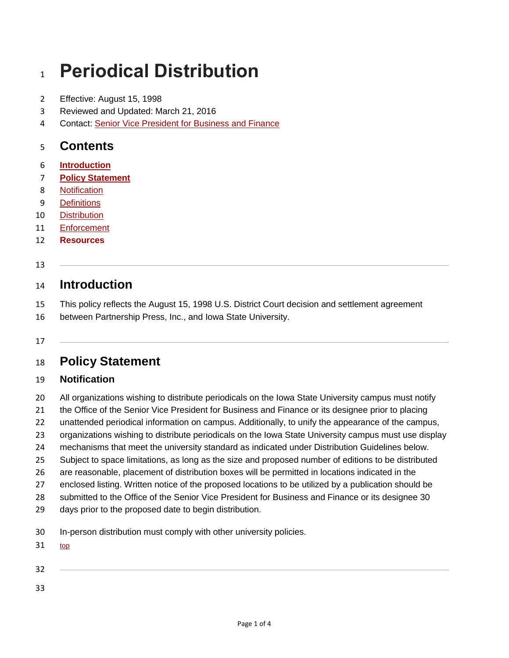# **Periodical Distribution**

- Effective: August 15, 1998
- Reviewed and Updated: March 21, 2016
- Contact: [Senior Vice President for Business and Finance](http://www.vpbf.iastate.edu/)

# **Contents**

- **[Introduction](http://www.policy.iastate.edu/policy/periodicals#intro)**
- **[Policy Statement](http://www.policy.iastate.edu/policy/periodicals#statement)**
- [Notification](http://www.policy.iastate.edu/policy/periodicals#notification)
- [Definitions](http://www.policy.iastate.edu/policy/periodicals#definitions)
- [Distribution](http://www.policy.iastate.edu/policy/periodicals#distribution)
- [Enforcement](http://www.policy.iastate.edu/policy/periodicals#enforcement)
- **[Resources](http://www.policy.iastate.edu/policy/periodicals#resources)**
- 

# **Introduction**

- This policy reflects the August 15, 1998 U.S. District Court decision and settlement agreement
- between Partnership Press, Inc., and Iowa State University.

#### 

# **Policy Statement**

#### **Notification**

- 20 All organizations wishing to distribute periodicals on the Iowa State University campus must notify
- the Office of the Senior Vice President for Business and Finance or its designee prior to placing
- unattended periodical information on campus. Additionally, to unify the appearance of the campus,
- organizations wishing to distribute periodicals on the Iowa State University campus must use display
- mechanisms that meet the university standard as indicated under Distribution Guidelines below.
- Subject to space limitations, as long as the size and proposed number of editions to be distributed
- are reasonable, placement of distribution boxes will be permitted in locations indicated in the
- enclosed listing. Written notice of the proposed locations to be utilized by a publication should be
- submitted to the Office of the Senior Vice President for Business and Finance or its designee 30
- days prior to the proposed date to begin distribution.
- In-person distribution must comply with other university policies.
- [top](http://www.policy.iastate.edu/policy/periodicals#top)
- 
-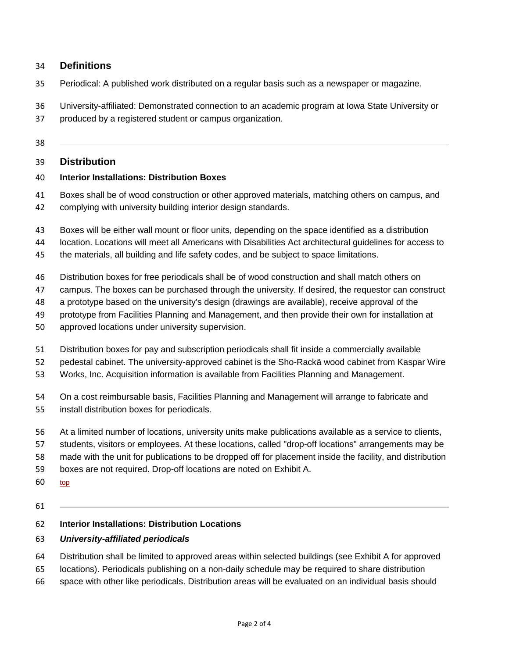#### **Definitions**

- Periodical: A published work distributed on a regular basis such as a newspaper or magazine.
- University-affiliated: Demonstrated connection to an academic program at Iowa State University or
- produced by a registered student or campus organization.

#### 

### **Distribution**

#### **Interior Installations: Distribution Boxes**

- Boxes shall be of wood construction or other approved materials, matching others on campus, and
- complying with university building interior design standards.
- Boxes will be either wall mount or floor units, depending on the space identified as a distribution
- location. Locations will meet all Americans with Disabilities Act architectural guidelines for access to
- the materials, all building and life safety codes, and be subject to space limitations.
- Distribution boxes for free periodicals shall be of wood construction and shall match others on
- campus. The boxes can be purchased through the university. If desired, the requestor can construct
- a prototype based on the university's design (drawings are available), receive approval of the
- prototype from Facilities Planning and Management, and then provide their own for installation at
- approved locations under university supervision.
- Distribution boxes for pay and subscription periodicals shall fit inside a commercially available
- pedestal cabinet. The university-approved cabinet is the Sho-Rackä wood cabinet from Kaspar Wire
- Works, Inc. Acquisition information is available from Facilities Planning and Management.
- On a cost reimbursable basis, Facilities Planning and Management will arrange to fabricate and install distribution boxes for periodicals.
- At a limited number of locations, university units make publications available as a service to clients,
- students, visitors or employees. At these locations, called "drop-off locations" arrangements may be
- made with the unit for publications to be dropped off for placement inside the facility, and distribution
- boxes are not required. Drop-off locations are noted on Exhibit A.
- [top](http://www.policy.iastate.edu/policy/periodicals#top)

#### **Interior Installations: Distribution Locations**

#### *University-affiliated periodicals*

- Distribution shall be limited to approved areas within selected buildings (see Exhibit A for approved
- locations). Periodicals publishing on a non-daily schedule may be required to share distribution
- space with other like periodicals. Distribution areas will be evaluated on an individual basis should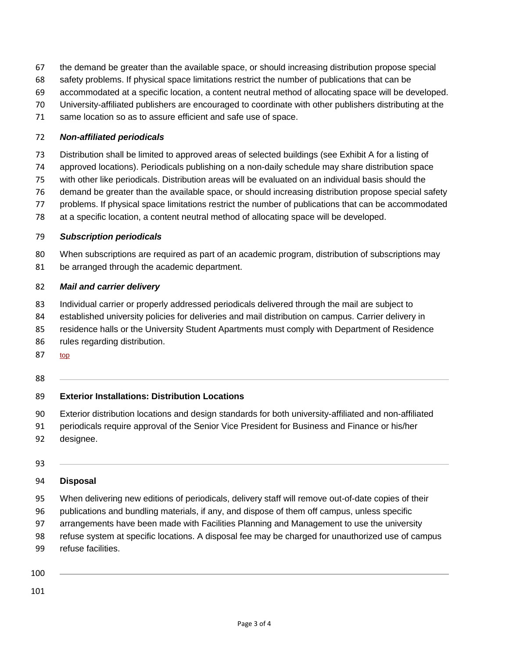- the demand be greater than the available space, or should increasing distribution propose special
- safety problems. If physical space limitations restrict the number of publications that can be
- accommodated at a specific location, a content neutral method of allocating space will be developed.
- University-affiliated publishers are encouraged to coordinate with other publishers distributing at the
- same location so as to assure efficient and safe use of space.

#### *Non-affiliated periodicals*

Distribution shall be limited to approved areas of selected buildings (see Exhibit A for a listing of

approved locations). Periodicals publishing on a non-daily schedule may share distribution space

- with other like periodicals. Distribution areas will be evaluated on an individual basis should the
- demand be greater than the available space, or should increasing distribution propose special safety
- problems. If physical space limitations restrict the number of publications that can be accommodated
- at a specific location, a content neutral method of allocating space will be developed.

#### *Subscription periodicals*

- When subscriptions are required as part of an academic program, distribution of subscriptions may
- be arranged through the academic department.

#### *Mail and carrier delivery*

- Individual carrier or properly addressed periodicals delivered through the mail are subject to
- established university policies for deliveries and mail distribution on campus. Carrier delivery in
- residence halls or the University Student Apartments must comply with Department of Residence
- rules regarding distribution.
- [top](http://www.policy.iastate.edu/policy/periodicals#top)
- 

## **Exterior Installations: Distribution Locations**

- Exterior distribution locations and design standards for both university-affiliated and non-affiliated
- periodicals require approval of the Senior Vice President for Business and Finance or his/her
- designee.
- 

#### **Disposal**

- When delivering new editions of periodicals, delivery staff will remove out-of-date copies of their
- publications and bundling materials, if any, and dispose of them off campus, unless specific
- arrangements have been made with Facilities Planning and Management to use the university
- refuse system at specific locations. A disposal fee may be charged for unauthorized use of campus
- refuse facilities.
- 
-